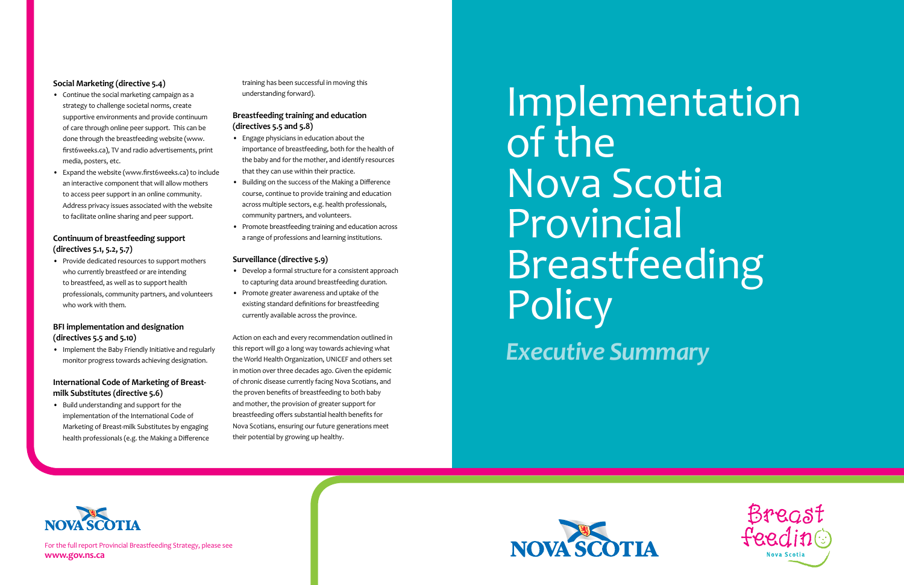For the full report Provincial Breastfeeding Strategy, please see **www.gov.ns.ca**

# Implementation of the Nova Scotia Provincial Breastfeeding **Policy**







*Executive Summary*



## **Social Marketing (directive 5.4)**

- Continue the social marketing campaign as a strategy to challenge societal norms, create supportive environments and provide continuum of care through online peer support. This can be done through the breastfeeding website (www. first6weeks.ca), TV and radio advertisements, print media, posters, etc.
- • Expand the website (www.first6weeks.ca) to include an interactive component that will allow mothers to access peer support in an online community. Address privacy issues associated with the website to facilitate online sharing and peer support.

• Provide dedicated resources to support mothers who currently breastfeed or are intending to breastfeed, as well as to support health professionals, community partners, and volunteers who work with them.

# **Continuum of breastfeeding support (directives 5.1, 5.2, 5.7)**

## **BFI implementation and designation (directives 5.5 and 5.10)**

• Implement the Baby Friendly Initiative and regularly monitor progress towards achieving designation.

- Develop a formal structure for a consistent approach to capturing data around breastfeeding duration.
- • Promote greater awareness and uptake of the existing standard definitions for breastfeeding currently available across the province.

## **International Code of Marketing of Breastmilk Substitutes (directive 5.6)**

• Build understanding and support for the implementation of the International Code of Marketing of Breast-milk Substitutes by engaging health professionals (e.g. the Making a Difference training has been successful in moving this understanding forward).

## **Breastfeeding training and education (directives 5.5 and 5.8)**

- • Engage physicians in education about the importance of breastfeeding, both for the health of the baby and for the mother, and identify resources that they can use within their practice.
- • Building on the success of the Making a Difference course, continue to provide training and education across multiple sectors, e.g. health professionals, community partners, and volunteers.
- • Promote breastfeeding training and education across a range of professions and learning institutions.

#### **Surveillance (directive 5.9)**

Action on each and every recommendation outlined in this report will go a long way towards achieving what the World Health Organization, UNICEF and others set in motion over three decades ago. Given the epidemic of chronic disease currently facing Nova Scotians, and the proven benefits of breastfeeding to both baby and mother, the provision of greater support for breastfeeding offers substantial health benefits for Nova Scotians, ensuring our future generations meet their potential by growing up healthy.